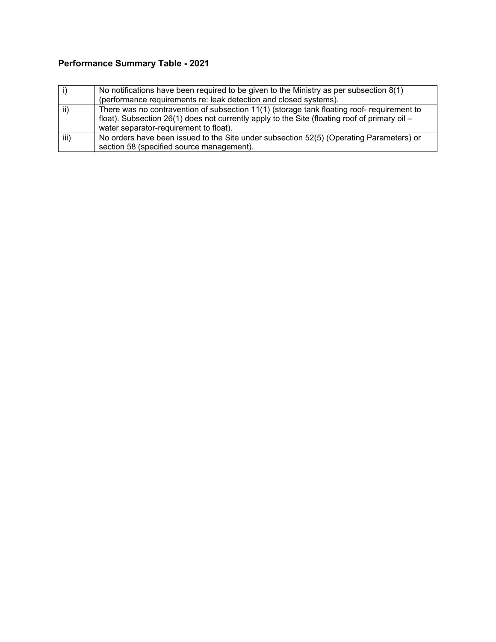|      | No notifications have been required to be given to the Ministry as per subsection $8(1)$                                                                                                                                                |
|------|-----------------------------------------------------------------------------------------------------------------------------------------------------------------------------------------------------------------------------------------|
|      | (performance requirements re: leak detection and closed systems).                                                                                                                                                                       |
| ii)  | There was no contravention of subsection 11(1) (storage tank floating roof- requirement to<br>float). Subsection $26(1)$ does not currently apply to the Site (floating roof of primary oil –<br>water separator-requirement to float). |
| iii) | No orders have been issued to the Site under subsection 52(5) (Operating Parameters) or<br>section 58 (specified source management).                                                                                                    |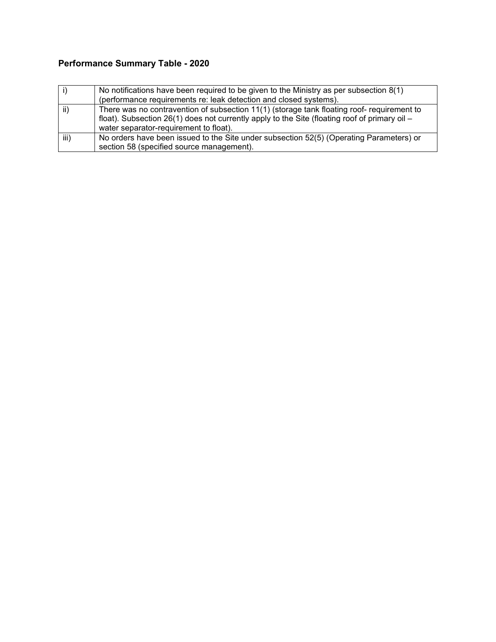|      | No notifications have been required to be given to the Ministry as per subsection $8(1)$                                                                                                                                                |
|------|-----------------------------------------------------------------------------------------------------------------------------------------------------------------------------------------------------------------------------------------|
|      | (performance requirements re: leak detection and closed systems).                                                                                                                                                                       |
| ii)  | There was no contravention of subsection 11(1) (storage tank floating roof- requirement to<br>float). Subsection $26(1)$ does not currently apply to the Site (floating roof of primary oil –<br>water separator-requirement to float). |
| iii) | No orders have been issued to the Site under subsection 52(5) (Operating Parameters) or<br>section 58 (specified source management).                                                                                                    |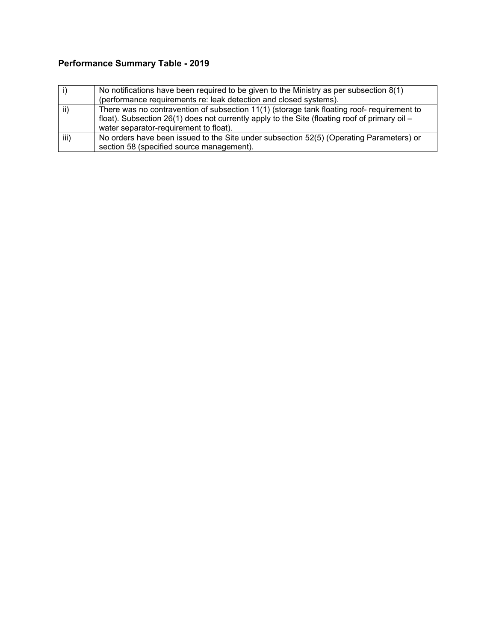|      | No notifications have been required to be given to the Ministry as per subsection $8(1)$                                                                                                                                                  |
|------|-------------------------------------------------------------------------------------------------------------------------------------------------------------------------------------------------------------------------------------------|
|      | (performance requirements re: leak detection and closed systems).                                                                                                                                                                         |
| ii)  | There was no contravention of subsection 11(1) (storage tank floating roof- requirement to<br>float). Subsection $26(1)$ does not currently apply to the Site (floating roof of primary oil $-$<br>water separator-requirement to float). |
| iii) | No orders have been issued to the Site under subsection 52(5) (Operating Parameters) or<br>section 58 (specified source management).                                                                                                      |